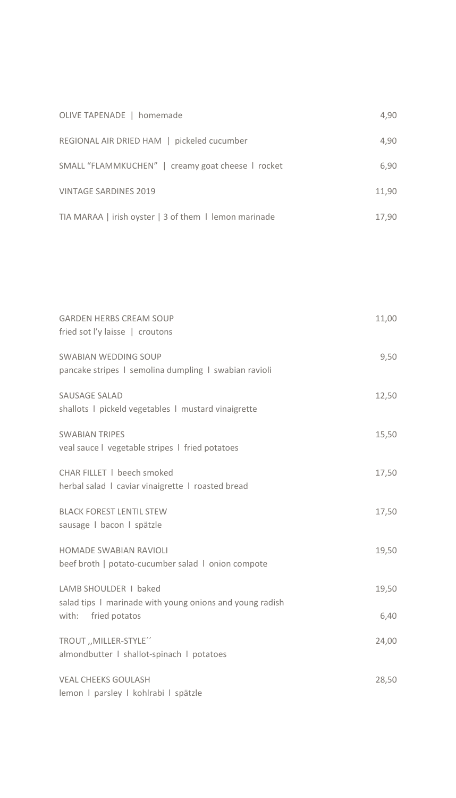| OLIVE TAPENADE   homemade                             | 4,90  |
|-------------------------------------------------------|-------|
| REGIONAL AIR DRIED HAM   pickeled cucumber            | 4,90  |
| SMALL "FLAMMKUCHEN"   creamy goat cheese   rocket     | 6,90  |
| <b>VINTAGE SARDINES 2019</b>                          | 11,90 |
| TIA MARAA   irish oyster   3 of them   lemon marinade | 17.90 |

| <b>GARDEN HERBS CREAM SOUP</b><br>fried sot I'y laisse   croutons                    | 11,00 |
|--------------------------------------------------------------------------------------|-------|
| <b>SWABIAN WEDDING SOUP</b><br>pancake stripes I semolina dumpling I swabian ravioli | 9,50  |
| SAUSAGE SALAD<br>shallots I pickeld vegetables I mustard vinaigrette                 | 12,50 |
| <b>SWABIAN TRIPES</b><br>veal sauce I vegetable stripes I fried potatoes             | 15,50 |
| CHAR FILLET   beech smoked<br>herbal salad   caviar vinaigrette   roasted bread      | 17,50 |
| <b>BLACK FOREST LENTIL STEW</b><br>sausage I bacon I spätzle                         | 17,50 |
| <b>HOMADE SWABIAN RAVIOLI</b><br>beef broth   potato-cucumber salad   onion compote  | 19,50 |
| LAMB SHOULDER   baked<br>salad tips I marinade with young onions and young radish    | 19,50 |
| with: fried potatos                                                                  | 6,40  |
| TROUT "MILLER-STYLE"<br>almondbutter   shallot-spinach   potatoes                    | 24,00 |
| <b>VEAL CHEEKS GOULASH</b><br>lemon I parsley I kohlrabi I spätzle                   | 28,50 |